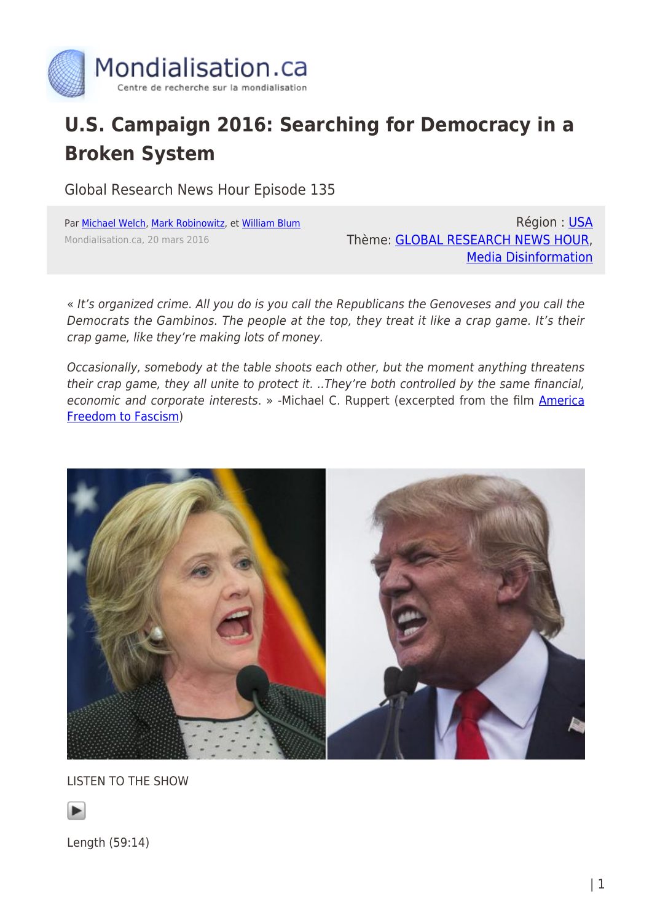

## **U.S. Campaign 2016: Searching for Democracy in a Broken System**

Global Research News Hour Episode 135

Par [Michael Welch](https://www.mondialisation.ca/author/michaelwelch), [Mark Robinowitz](https://www.mondialisation.ca/author/mark-robinowitz), et [William Blum](https://www.mondialisation.ca/author/william-blum) Mondialisation.ca, 20 mars 2016

Région : [USA](https://www.mondialisation.ca/region/usa) Thème: [GLOBAL RESEARCH NEWS HOUR](https://www.mondialisation.ca/theme/global-research-news-hour), [Media Disinformation](https://www.mondialisation.ca/theme/media-disinformation)

« It's organized crime. All you do is you call the Republicans the Genoveses and you call the Democrats the Gambinos. The people at the top, they treat it like a crap game. It's their crap game, like they're making lots of money.

Occasionally, somebody at the table shoots each other, but the moment anything threatens their crap game, they all unite to protect it. ..They're both controlled by the same financial, economic and corporate interests. » -Michael C. Ruppert (excerpted from the film [America](http://www.imdb.com/title/tt0772153/) [Freedom to Fascism\)](http://www.imdb.com/title/tt0772153/)



LISTEN TO THE SHOW



Length (59:14)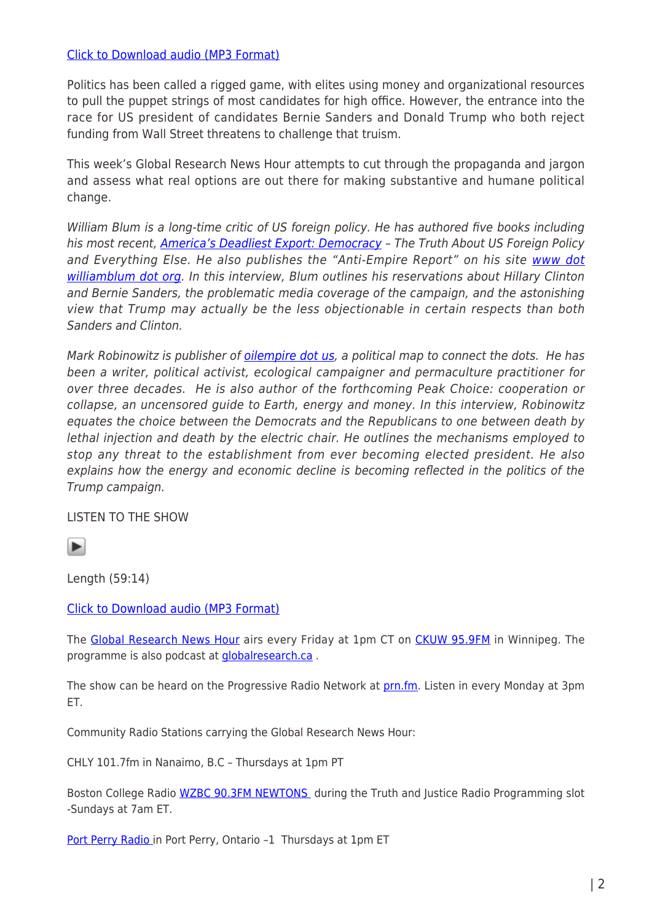## [Click to Download audio \(MP3 Format\)](http://radio4all.net/responder.php/download/85727/94449/106376/?url=http://www.radio4all.net/files/scottprice666@hotmail.com/4319-1-GRNH_Mar18_2016_episode_135_session_mixdown.mp3)

Politics has been called a rigged game, with elites using money and organizational resources to pull the puppet strings of most candidates for high office. However, the entrance into the race for US president of candidates Bernie Sanders and Donald Trump who both reject funding from Wall Street threatens to challenge that truism.

This week's Global Research News Hour attempts to cut through the propaganda and jargon and assess what real options are out there for making substantive and humane political change.

William Blum is a long-time critic of US foreign policy. He has authored five books including his most recent, [America's Deadliest Export: Democracy](http://williamblum.org/books/americas-deadliest-export) - The Truth About US Foreign Policy and Everything Else. He also publishes the "Anti-Empire Report" on his site [www dot](http://www.williamblum.org/) [williamblum dot org.](http://www.williamblum.org/) In this interview, Blum outlines his reservations about Hillary Clinton and Bernie Sanders, the problematic media coverage of the campaign, and the astonishing view that Trump may actually be the less objectionable in certain respects than both Sanders and Clinton.

Mark Robinowitz is publisher of [oilempire dot us,](http://oilempire.us) a political map to connect the dots. He has been a writer, political activist, ecological campaigner and permaculture practitioner for over three decades. He is also author of the forthcoming Peak Choice: cooperation or collapse, an uncensored guide to Earth, energy and money. In this interview, Robinowitz equates the choice between the Democrats and the Republicans to one between death by lethal injection and death by the electric chair. He outlines the mechanisms employed to stop any threat to the establishment from ever becoming elected president. He also explains how the energy and economic decline is becoming reflected in the politics of the Trump campaign.

LISTEN TO THE SHOW

 $\blacktriangleright$ 

Length (59:14)

[Click to Download audio \(MP3 Format\)](http://radio4all.net/responder.php/download/85727/94449/106376/?url=http://www.radio4all.net/files/scottprice666@hotmail.com/4319-1-GRNH_Mar18_2016_episode_135_session_mixdown.mp3)

The [Global Research News Hour](http://www.globalresearch.ca/theme/global-research-news-hour) airs every Friday at 1pm CT on [CKUW 95.9FM](http://ckuw.ca/) in Winnipeg. The programme is also podcast at [globalresearch.ca](http://globalresearch.ca/) .

The show can be heard on the Progressive Radio Network at [prn.fm](http://prn.fm/). Listen in every Monday at 3pm ET.

Community Radio Stations carrying the Global Research News Hour:

CHLY 101.7fm in Nanaimo, B.C – Thursdays at 1pm PT

Boston College Radio [WZBC 90.3FM NEWTONS](http://wzbc.org/#schedule) during the Truth and Justice Radio Programming slot -Sundays at 7am ET.

[Port Perry Radio i](http://portperryradio.com/)n Port Perry, Ontario -1 Thursdays at 1pm ET